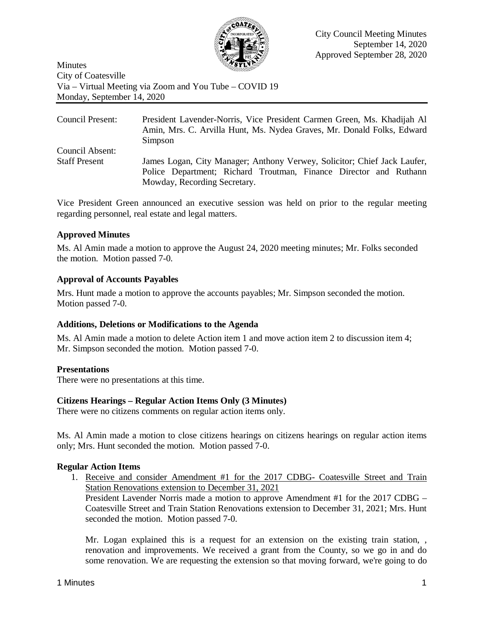

Minutes City of Coatesville Via – Virtual Meeting via Zoom and You Tube – COVID 19 Monday, September 14, 2020

| Council Present:     | President Lavender-Norris, Vice President Carmen Green, Ms. Khadijah Al<br>Amin, Mrs. C. Arvilla Hunt, Ms. Nydea Graves, Mr. Donald Folks, Edward<br>Simpson                  |
|----------------------|-------------------------------------------------------------------------------------------------------------------------------------------------------------------------------|
| Council Absent:      |                                                                                                                                                                               |
| <b>Staff Present</b> | James Logan, City Manager; Anthony Verwey, Solicitor; Chief Jack Laufer,<br>Police Department; Richard Troutman, Finance Director and Ruthann<br>Mowday, Recording Secretary. |

Vice President Green announced an executive session was held on prior to the regular meeting regarding personnel, real estate and legal matters.

# **Approved Minutes**

Ms. Al Amin made a motion to approve the August 24, 2020 meeting minutes; Mr. Folks seconded the motion. Motion passed 7-0.

## **Approval of Accounts Payables**

Mrs. Hunt made a motion to approve the accounts payables; Mr. Simpson seconded the motion. Motion passed 7-0.

### **Additions, Deletions or Modifications to the Agenda**

Ms. Al Amin made a motion to delete Action item 1 and move action item 2 to discussion item 4; Mr. Simpson seconded the motion. Motion passed 7-0.

# **Presentations**

There were no presentations at this time.

# **Citizens Hearings – Regular Action Items Only (3 Minutes)**

There were no citizens comments on regular action items only.

Ms. Al Amin made a motion to close citizens hearings on citizens hearings on regular action items only; Mrs. Hunt seconded the motion. Motion passed 7-0.

### **Regular Action Items**

1. Receive and consider Amendment #1 for the 2017 CDBG- Coatesville Street and Train Station Renovations extension to December 31, 2021

President Lavender Norris made a motion to approve Amendment #1 for the 2017 CDBG – Coatesville Street and Train Station Renovations extension to December 31, 2021; Mrs. Hunt seconded the motion. Motion passed 7-0.

Mr. Logan explained this is a request for an extension on the existing train station, , renovation and improvements. We received a grant from the County, so we go in and do some renovation. We are requesting the extension so that moving forward, we're going to do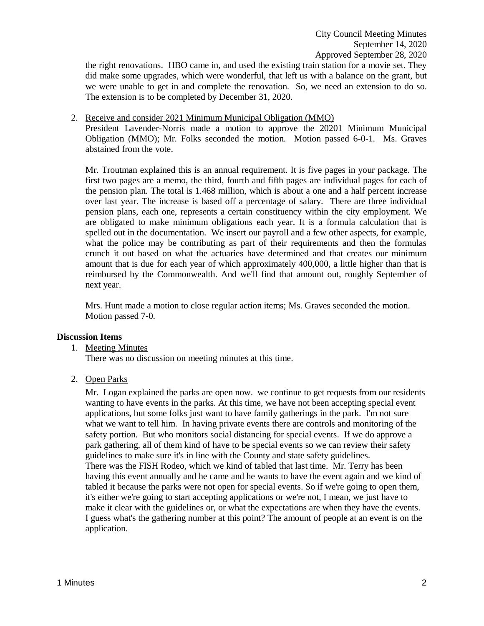the right renovations. HBO came in, and used the existing train station for a movie set. They did make some upgrades, which were wonderful, that left us with a balance on the grant, but we were unable to get in and complete the renovation. So, we need an extension to do so. The extension is to be completed by December 31, 2020.

2. Receive and consider 2021 Minimum Municipal Obligation (MMO)

President Lavender-Norris made a motion to approve the 20201 Minimum Municipal Obligation (MMO); Mr. Folks seconded the motion. Motion passed 6-0-1. Ms. Graves abstained from the vote.

Mr. Troutman explained this is an annual requirement. It is five pages in your package. The first two pages are a memo, the third, fourth and fifth pages are individual pages for each of the pension plan. The total is 1.468 million, which is about a one and a half percent increase over last year. The increase is based off a percentage of salary. There are three individual pension plans, each one, represents a certain constituency within the city employment. We are obligated to make minimum obligations each year. It is a formula calculation that is spelled out in the documentation. We insert our payroll and a few other aspects, for example, what the police may be contributing as part of their requirements and then the formulas crunch it out based on what the actuaries have determined and that creates our minimum amount that is due for each year of which approximately 400,000, a little higher than that is reimbursed by the Commonwealth. And we'll find that amount out, roughly September of next year.

Mrs. Hunt made a motion to close regular action items; Ms. Graves seconded the motion. Motion passed 7-0.

### **Discussion Items**

1. Meeting Minutes

There was no discussion on meeting minutes at this time.

2. Open Parks

Mr. Logan explained the parks are open now. we continue to get requests from our residents wanting to have events in the parks. At this time, we have not been accepting special event applications, but some folks just want to have family gatherings in the park. I'm not sure what we want to tell him. In having private events there are controls and monitoring of the safety portion. But who monitors social distancing for special events. If we do approve a park gathering, all of them kind of have to be special events so we can review their safety guidelines to make sure it's in line with the County and state safety guidelines. There was the FISH Rodeo, which we kind of tabled that last time. Mr. Terry has been having this event annually and he came and he wants to have the event again and we kind of tabled it because the parks were not open for special events. So if we're going to open them, it's either we're going to start accepting applications or we're not, I mean, we just have to make it clear with the guidelines or, or what the expectations are when they have the events. I guess what's the gathering number at this point? The amount of people at an event is on the application.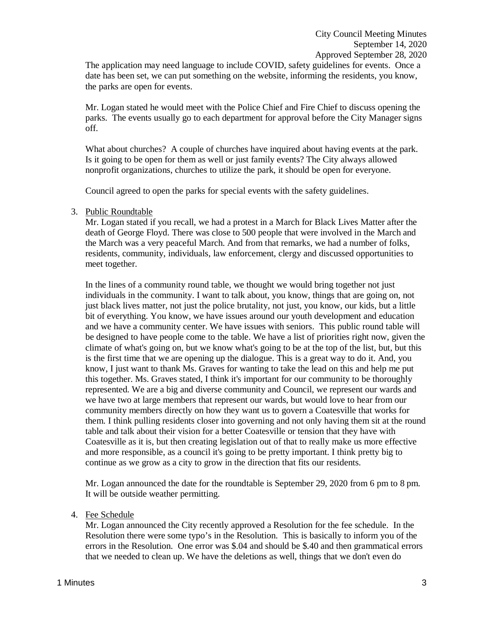The application may need language to include COVID, safety guidelines for events. Once a date has been set, we can put something on the website, informing the residents, you know, the parks are open for events.

Mr. Logan stated he would meet with the Police Chief and Fire Chief to discuss opening the parks. The events usually go to each department for approval before the City Manager signs off.

What about churches? A couple of churches have inquired about having events at the park. Is it going to be open for them as well or just family events? The City always allowed nonprofit organizations, churches to utilize the park, it should be open for everyone.

Council agreed to open the parks for special events with the safety guidelines.

### 3. Public Roundtable

Mr. Logan stated if you recall, we had a protest in a March for Black Lives Matter after the death of George Floyd. There was close to 500 people that were involved in the March and the March was a very peaceful March. And from that remarks, we had a number of folks, residents, community, individuals, law enforcement, clergy and discussed opportunities to meet together.

In the lines of a community round table, we thought we would bring together not just individuals in the community. I want to talk about, you know, things that are going on, not just black lives matter, not just the police brutality, not just, you know, our kids, but a little bit of everything. You know, we have issues around our youth development and education and we have a community center. We have issues with seniors. This public round table will be designed to have people come to the table. We have a list of priorities right now, given the climate of what's going on, but we know what's going to be at the top of the list, but, but this is the first time that we are opening up the dialogue. This is a great way to do it. And, you know, I just want to thank Ms. Graves for wanting to take the lead on this and help me put this together. Ms. Graves stated, I think it's important for our community to be thoroughly represented. We are a big and diverse community and Council, we represent our wards and we have two at large members that represent our wards, but would love to hear from our community members directly on how they want us to govern a Coatesville that works for them. I think pulling residents closer into governing and not only having them sit at the round table and talk about their vision for a better Coatesville or tension that they have with Coatesville as it is, but then creating legislation out of that to really make us more effective and more responsible, as a council it's going to be pretty important. I think pretty big to continue as we grow as a city to grow in the direction that fits our residents.

Mr. Logan announced the date for the roundtable is September 29, 2020 from 6 pm to 8 pm. It will be outside weather permitting.

#### 4. Fee Schedule

Mr. Logan announced the City recently approved a Resolution for the fee schedule. In the Resolution there were some typo's in the Resolution. This is basically to inform you of the errors in the Resolution. One error was \$.04 and should be \$.40 and then grammatical errors that we needed to clean up. We have the deletions as well, things that we don't even do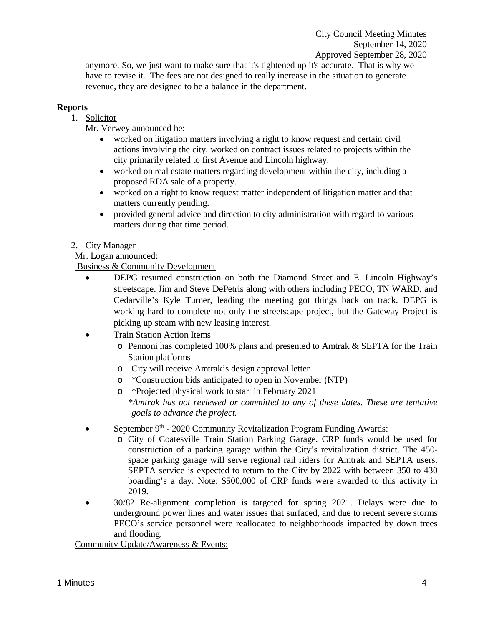anymore. So, we just want to make sure that it's tightened up it's accurate. That is why we have to revise it. The fees are not designed to really increase in the situation to generate revenue, they are designed to be a balance in the department.

## **Reports**

1. Solicitor

Mr. Verwey announced he:

- worked on litigation matters involving a right to know request and certain civil actions involving the city. worked on contract issues related to projects within the city primarily related to first Avenue and Lincoln highway.
- worked on real estate matters regarding development within the city, including a proposed RDA sale of a property.
- worked on a right to know request matter independent of litigation matter and that matters currently pending.
- provided general advice and direction to city administration with regard to various matters during that time period.

## 2. City Manager

Mr. Logan announced:

Business & Community Development

- DEPG resumed construction on both the Diamond Street and E. Lincoln Highway's streetscape. Jim and Steve DePetris along with others including PECO, TN WARD, and Cedarville's Kyle Turner, leading the meeting got things back on track. DEPG is working hard to complete not only the streetscape project, but the Gateway Project is picking up steam with new leasing interest.
- Train Station Action Items
	- $\circ$  Pennoni has completed 100% plans and presented to Amtrak & SEPTA for the Train Station platforms
	- o City will receive Amtrak's design approval letter
	- o \*Construction bids anticipated to open in November (NTP)
	- o \*Projected physical work to start in February 2021 *\*Amtrak has not reviewed or committed to any of these dates. These are tentative goals to advance the project.*
- September 9<sup>th</sup> 2020 Community Revitalization Program Funding Awards:
	- o City of Coatesville Train Station Parking Garage. CRP funds would be used for construction of a parking garage within the City's revitalization district. The 450 space parking garage will serve regional rail riders for Amtrak and SEPTA users. SEPTA service is expected to return to the City by 2022 with between 350 to 430 boarding's a day. Note: \$500,000 of CRP funds were awarded to this activity in 2019.
- 30/82 Re-alignment completion is targeted for spring 2021. Delays were due to underground power lines and water issues that surfaced, and due to recent severe storms PECO's service personnel were reallocated to neighborhoods impacted by down trees and flooding.

Community Update/Awareness & Events: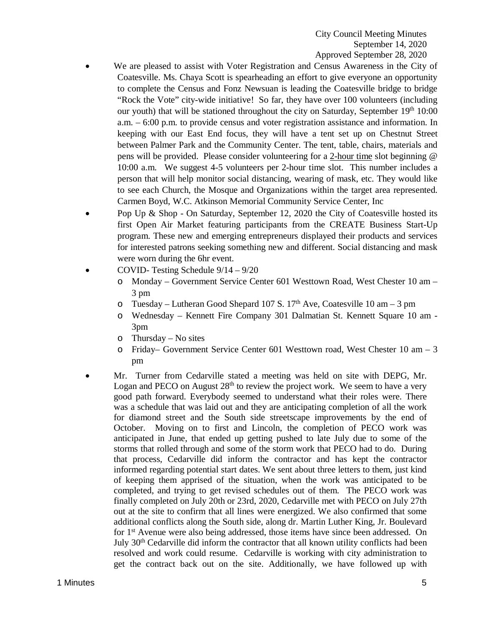- We are pleased to assist with Voter Registration and Census Awareness in the City of Coatesville. Ms. Chaya Scott is spearheading an effort to give everyone an opportunity to complete the Census and Fonz Newsuan is leading the Coatesville bridge to bridge "Rock the Vote" city-wide initiative! So far, they have over 100 volunteers (including our youth) that will be stationed throughout the city on Saturday, September  $19<sup>th</sup> 10:00$ a.m. – 6:00 p.m. to provide census and voter registration assistance and information. In keeping with our East End focus, they will have a tent set up on Chestnut Street between Palmer Park and the Community Center. The tent, table, chairs, materials and pens will be provided. Please consider volunteering for a 2-hour time slot beginning @ 10:00 a.m. We suggest 4-5 volunteers per 2-hour time slot. This number includes a person that will help monitor social distancing, wearing of mask, etc. They would like to see each Church, the Mosque and Organizations within the target area represented. Carmen Boyd, W.C. Atkinson Memorial Community Service Center, Inc
- Pop Up & Shop On Saturday, September 12, 2020 the City of Coatesville hosted its first Open Air Market featuring participants from the CREATE Business Start-Up program. These new and emerging entrepreneurs displayed their products and services for interested patrons seeking something new and different. Social distancing and mask were worn during the 6hr event.
- COVID- Testing Schedule 9/14 9/20
	- o Monday Government Service Center 601 Westtown Road, West Chester 10 am 3 pm
	- o Tuesday Lutheran Good Shepard 107 S.  $17<sup>th</sup>$  Ave, Coatesville 10 am 3 pm
	- o Wednesday Kennett Fire Company 301 Dalmatian St. Kennett Square 10 am 3pm
	- o Thursday No sites
	- $\circ$  Friday– Government Service Center 601 Westtown road, West Chester 10 am 3 pm
- Mr. Turner from Cedarville stated a meeting was held on site with DEPG, Mr. Logan and PECO on August  $28<sup>th</sup>$  to review the project work. We seem to have a very good path forward. Everybody seemed to understand what their roles were. There was a schedule that was laid out and they are anticipating completion of all the work for diamond street and the South side streetscape improvements by the end of October. Moving on to first and Lincoln, the completion of PECO work was anticipated in June, that ended up getting pushed to late July due to some of the storms that rolled through and some of the storm work that PECO had to do. During that process, Cedarville did inform the contractor and has kept the contractor informed regarding potential start dates. We sent about three letters to them, just kind of keeping them apprised of the situation, when the work was anticipated to be completed, and trying to get revised schedules out of them. The PECO work was finally completed on July 20th or 23rd, 2020, Cedarville met with PECO on July 27th out at the site to confirm that all lines were energized. We also confirmed that some additional conflicts along the South side, along dr. Martin Luther King, Jr. Boulevard for 1st Avenue were also being addressed, those items have since been addressed. On July 30th Cedarville did inform the contractor that all known utility conflicts had been resolved and work could resume. Cedarville is working with city administration to get the contract back out on the site. Additionally, we have followed up with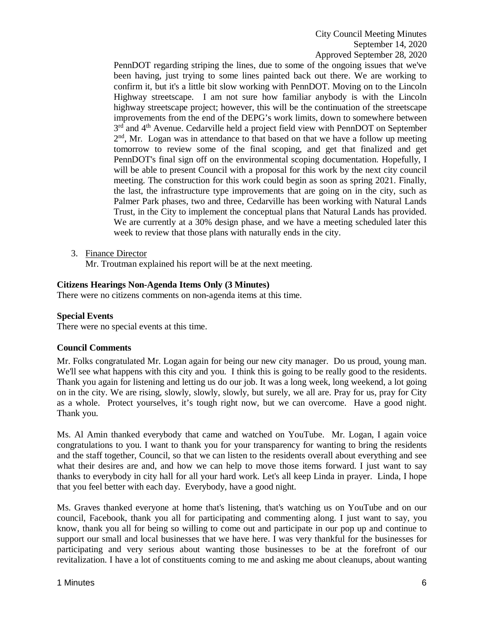PennDOT regarding striping the lines, due to some of the ongoing issues that we've been having, just trying to some lines painted back out there. We are working to confirm it, but it's a little bit slow working with PennDOT. Moving on to the Lincoln Highway streetscape. I am not sure how familiar anybody is with the Lincoln highway streetscape project; however, this will be the continuation of the streetscape improvements from the end of the DEPG's work limits, down to somewhere between 3<sup>rd</sup> and 4<sup>th</sup> Avenue. Cedarville held a project field view with PennDOT on September 2nd, Mr. Logan was in attendance to that based on that we have a follow up meeting tomorrow to review some of the final scoping, and get that finalized and get PennDOT's final sign off on the environmental scoping documentation. Hopefully, I will be able to present Council with a proposal for this work by the next city council meeting. The construction for this work could begin as soon as spring 2021. Finally, the last, the infrastructure type improvements that are going on in the city, such as Palmer Park phases, two and three, Cedarville has been working with Natural Lands Trust, in the City to implement the conceptual plans that Natural Lands has provided. We are currently at a 30% design phase, and we have a meeting scheduled later this week to review that those plans with naturally ends in the city.

3. Finance Director

Mr. Troutman explained his report will be at the next meeting.

### **Citizens Hearings Non-Agenda Items Only (3 Minutes)**

There were no citizens comments on non-agenda items at this time.

### **Special Events**

There were no special events at this time.

#### **Council Comments**

Mr. Folks congratulated Mr. Logan again for being our new city manager. Do us proud, young man. We'll see what happens with this city and you. I think this is going to be really good to the residents. Thank you again for listening and letting us do our job. It was a long week, long weekend, a lot going on in the city. We are rising, slowly, slowly, slowly, but surely, we all are. Pray for us, pray for City as a whole. Protect yourselves, it's tough right now, but we can overcome. Have a good night. Thank you.

Ms. Al Amin thanked everybody that came and watched on YouTube. Mr. Logan, I again voice congratulations to you. I want to thank you for your transparency for wanting to bring the residents and the staff together, Council, so that we can listen to the residents overall about everything and see what their desires are and, and how we can help to move those items forward. I just want to say thanks to everybody in city hall for all your hard work. Let's all keep Linda in prayer. Linda, I hope that you feel better with each day. Everybody, have a good night.

Ms. Graves thanked everyone at home that's listening, that's watching us on YouTube and on our council, Facebook, thank you all for participating and commenting along. I just want to say, you know, thank you all for being so willing to come out and participate in our pop up and continue to support our small and local businesses that we have here. I was very thankful for the businesses for participating and very serious about wanting those businesses to be at the forefront of our revitalization. I have a lot of constituents coming to me and asking me about cleanups, about wanting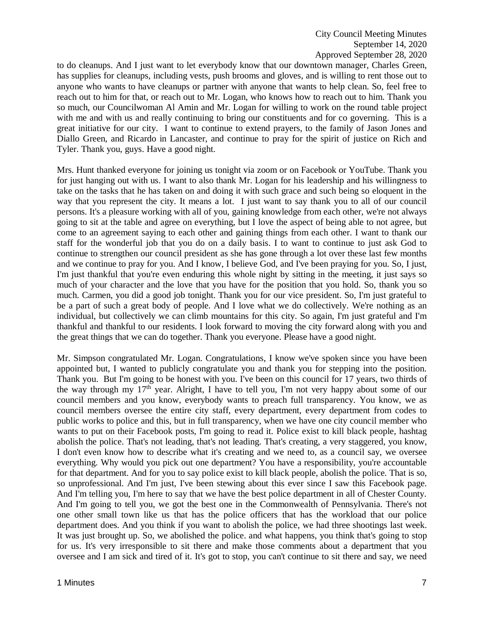to do cleanups. And I just want to let everybody know that our downtown manager, Charles Green, has supplies for cleanups, including vests, push brooms and gloves, and is willing to rent those out to anyone who wants to have cleanups or partner with anyone that wants to help clean. So, feel free to reach out to him for that, or reach out to Mr. Logan, who knows how to reach out to him. Thank you so much, our Councilwoman Al Amin and Mr. Logan for willing to work on the round table project with me and with us and really continuing to bring our constituents and for co governing. This is a great initiative for our city. I want to continue to extend prayers, to the family of Jason Jones and Diallo Green, and Ricardo in Lancaster, and continue to pray for the spirit of justice on Rich and Tyler. Thank you, guys. Have a good night.

Mrs. Hunt thanked everyone for joining us tonight via zoom or on Facebook or YouTube. Thank you for just hanging out with us. I want to also thank Mr. Logan for his leadership and his willingness to take on the tasks that he has taken on and doing it with such grace and such being so eloquent in the way that you represent the city. It means a lot. I just want to say thank you to all of our council persons. It's a pleasure working with all of you, gaining knowledge from each other, we're not always going to sit at the table and agree on everything, but I love the aspect of being able to not agree, but come to an agreement saying to each other and gaining things from each other. I want to thank our staff for the wonderful job that you do on a daily basis. I to want to continue to just ask God to continue to strengthen our council president as she has gone through a lot over these last few months and we continue to pray for you. And I know, I believe God, and I've been praying for you. So, I just, I'm just thankful that you're even enduring this whole night by sitting in the meeting, it just says so much of your character and the love that you have for the position that you hold. So, thank you so much. Carmen, you did a good job tonight. Thank you for our vice president. So, I'm just grateful to be a part of such a great body of people. And I love what we do collectively. We're nothing as an individual, but collectively we can climb mountains for this city. So again, I'm just grateful and I'm thankful and thankful to our residents. I look forward to moving the city forward along with you and the great things that we can do together. Thank you everyone. Please have a good night.

Mr. Simpson congratulated Mr. Logan. Congratulations, I know we've spoken since you have been appointed but, I wanted to publicly congratulate you and thank you for stepping into the position. Thank you. But I'm going to be honest with you. I've been on this council for 17 years, two thirds of the way through my 17th year. Alright, I have to tell you, I'm not very happy about some of our council members and you know, everybody wants to preach full transparency. You know, we as council members oversee the entire city staff, every department, every department from codes to public works to police and this, but in full transparency, when we have one city council member who wants to put on their Facebook posts, I'm going to read it. Police exist to kill black people, hashtag abolish the police. That's not leading, that's not leading. That's creating, a very staggered, you know, I don't even know how to describe what it's creating and we need to, as a council say, we oversee everything. Why would you pick out one department? You have a responsibility, you're accountable for that department. And for you to say police exist to kill black people, abolish the police. That is so, so unprofessional. And I'm just, I've been stewing about this ever since I saw this Facebook page. And I'm telling you, I'm here to say that we have the best police department in all of Chester County. And I'm going to tell you, we got the best one in the Commonwealth of Pennsylvania. There's not one other small town like us that has the police officers that has the workload that our police department does. And you think if you want to abolish the police, we had three shootings last week. It was just brought up. So, we abolished the police. and what happens, you think that's going to stop for us. It's very irresponsible to sit there and make those comments about a department that you oversee and I am sick and tired of it. It's got to stop, you can't continue to sit there and say, we need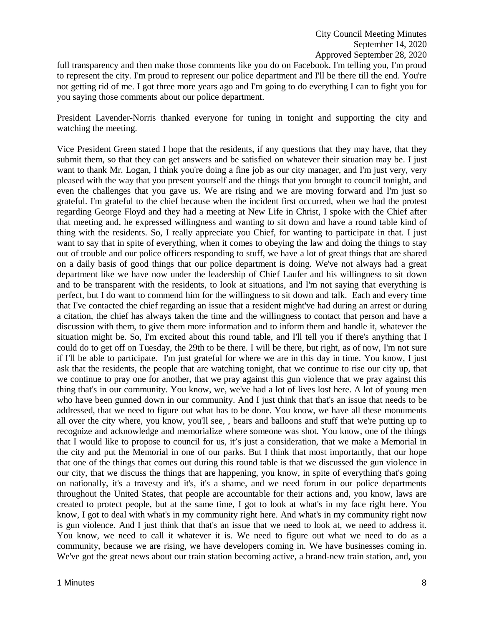full transparency and then make those comments like you do on Facebook. I'm telling you, I'm proud to represent the city. I'm proud to represent our police department and I'll be there till the end. You're not getting rid of me. I got three more years ago and I'm going to do everything I can to fight you for you saying those comments about our police department.

President Lavender-Norris thanked everyone for tuning in tonight and supporting the city and watching the meeting.

Vice President Green stated I hope that the residents, if any questions that they may have, that they submit them, so that they can get answers and be satisfied on whatever their situation may be. I just want to thank Mr. Logan, I think you're doing a fine job as our city manager, and I'm just very, very pleased with the way that you present yourself and the things that you brought to council tonight, and even the challenges that you gave us. We are rising and we are moving forward and I'm just so grateful. I'm grateful to the chief because when the incident first occurred, when we had the protest regarding George Floyd and they had a meeting at New Life in Christ, I spoke with the Chief after that meeting and, he expressed willingness and wanting to sit down and have a round table kind of thing with the residents. So, I really appreciate you Chief, for wanting to participate in that. I just want to say that in spite of everything, when it comes to obeying the law and doing the things to stay out of trouble and our police officers responding to stuff, we have a lot of great things that are shared on a daily basis of good things that our police department is doing. We've not always had a great department like we have now under the leadership of Chief Laufer and his willingness to sit down and to be transparent with the residents, to look at situations, and I'm not saying that everything is perfect, but I do want to commend him for the willingness to sit down and talk. Each and every time that I've contacted the chief regarding an issue that a resident might've had during an arrest or during a citation, the chief has always taken the time and the willingness to contact that person and have a discussion with them, to give them more information and to inform them and handle it, whatever the situation might be. So, I'm excited about this round table, and I'll tell you if there's anything that I could do to get off on Tuesday, the 29th to be there. I will be there, but right, as of now, I'm not sure if I'll be able to participate. I'm just grateful for where we are in this day in time. You know, I just ask that the residents, the people that are watching tonight, that we continue to rise our city up, that we continue to pray one for another, that we pray against this gun violence that we pray against this thing that's in our community. You know, we, we've had a lot of lives lost here. A lot of young men who have been gunned down in our community. And I just think that that's an issue that needs to be addressed, that we need to figure out what has to be done. You know, we have all these monuments all over the city where, you know, you'll see, , bears and balloons and stuff that we're putting up to recognize and acknowledge and memorialize where someone was shot. You know, one of the things that I would like to propose to council for us, it's just a consideration, that we make a Memorial in the city and put the Memorial in one of our parks. But I think that most importantly, that our hope that one of the things that comes out during this round table is that we discussed the gun violence in our city, that we discuss the things that are happening, you know, in spite of everything that's going on nationally, it's a travesty and it's, it's a shame, and we need forum in our police departments throughout the United States, that people are accountable for their actions and, you know, laws are created to protect people, but at the same time, I got to look at what's in my face right here. You know, I got to deal with what's in my community right here. And what's in my community right now is gun violence. And I just think that that's an issue that we need to look at, we need to address it. You know, we need to call it whatever it is. We need to figure out what we need to do as a community, because we are rising, we have developers coming in. We have businesses coming in. We've got the great news about our train station becoming active, a brand-new train station, and, you